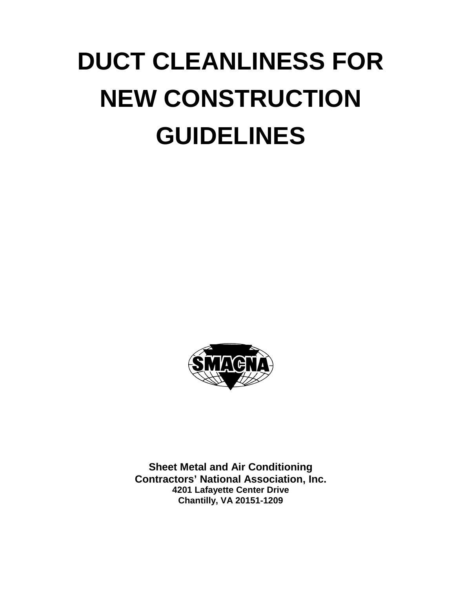# **DUCT CLEANLINESS FOR NEW CONSTRUCTION GUIDELINES**



**Sheet Metal and Air Conditioning Contractors' National Association, Inc. 4201 Lafayette Center Drive Chantilly, VA 20151-1209**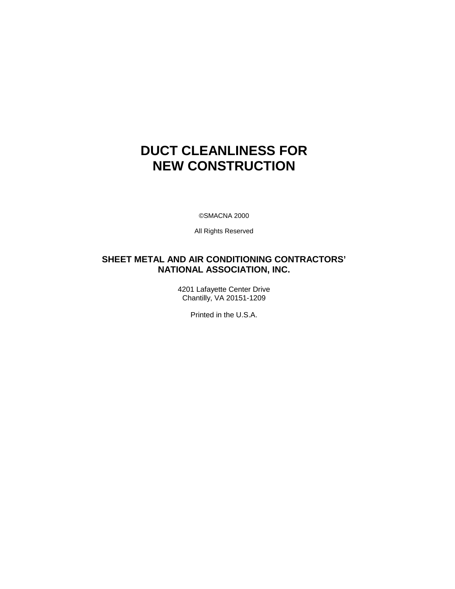# **DUCT CLEANLINESS FOR NEW CONSTRUCTION**

©SMACNA 2000

All Rights Reserved

### **SHEET METAL AND AIR CONDITIONING CONTRACTORS' NATIONAL ASSOCIATION, INC.**

4201 Lafayette Center Drive Chantilly, VA 20151-1209

Printed in the U.S.A.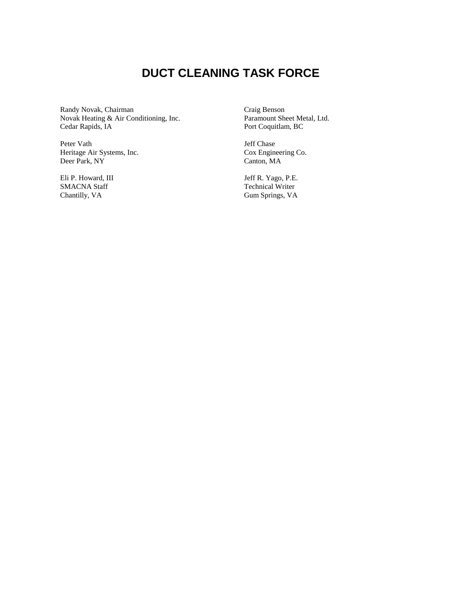## **DUCT CLEANING TASK FORCE**

Randy Novak, Chairman Novak Heating & Air Conditioning, Inc. Cedar Rapids, IA

Peter Vath Heritage Air Systems, Inc. Deer Park, NY

Eli P. Howard, III SMACNA Staff Chantilly, VA

Craig Benson Paramount Sheet Metal, Ltd. Port Coquitlam, BC

Jeff Chase Cox Engineering Co. Canton, MA

Jeff R. Yago, P.E. Technical Writer Gum Springs, VA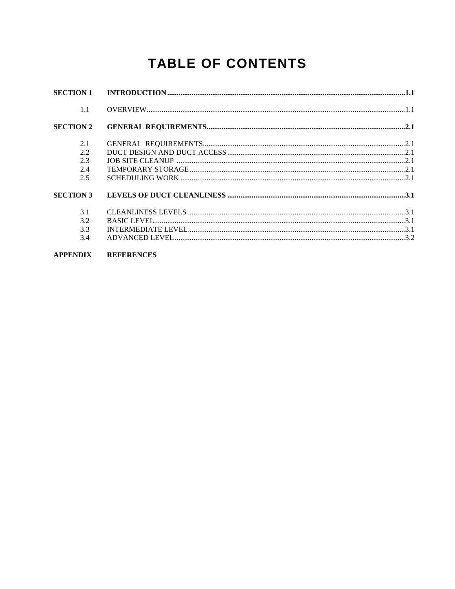# **TABLE OF CONTENTS**

| <b>SECTION 1</b> | INTRODUCTION 1.1  |  |
|------------------|-------------------|--|
| 1.1              |                   |  |
| <b>SECTION 2</b> |                   |  |
| 2.1              |                   |  |
| 2.2              |                   |  |
| 2.3              |                   |  |
| 2.4              |                   |  |
| 2.5              |                   |  |
| <b>SECTION 3</b> |                   |  |
| 3.1              |                   |  |
| 3.2              |                   |  |
| 3.3              |                   |  |
| 3.4              |                   |  |
| <b>APPENDIX</b>  | <b>REFERENCES</b> |  |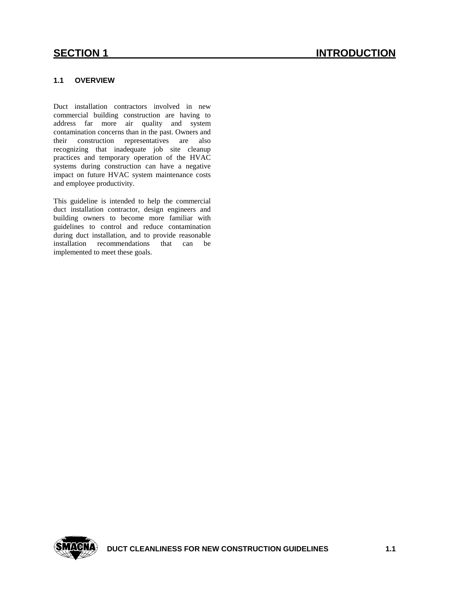#### **1.1 OVERVIEW**

 systems during construction can have a negative Duct installation contractors involved in new commercial building construction are having to address far more air quality and system contamination concerns than in the past. Owners and their construction representatives are also recognizing that inadequate job site cleanup practices and temporary operation of the HVAC impact on future HVAC system maintenance costs and employee productivity.

 installation recommendations that can be This guideline is intended to help the commercial duct installation contractor, design engineers and building owners to become more familiar with guidelines to control and reduce contamination during duct installation, and to provide reasonable implemented to meet these goals.

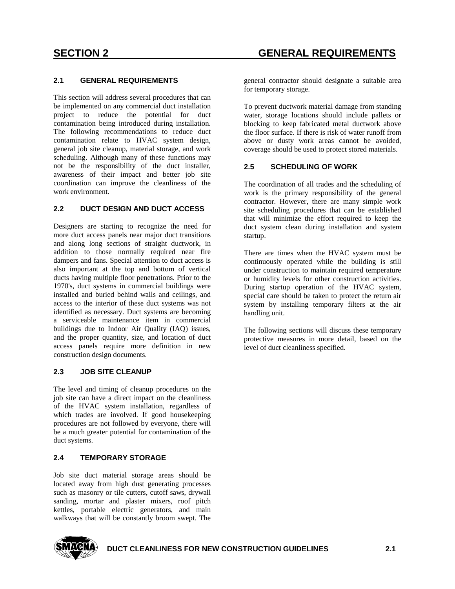#### **2.1 GENERAL REQUIREMENTS**

 contamination being introduced during installation. contamination relate to HVAC system design, scheduling. Although many of these functions may This section will address several procedures that can be implemented on any commercial duct installation project to reduce the potential for duct The following recommendations to reduce duct general job site cleanup, material storage, and work not be the responsibility of the duct installer, awareness of their impact and better job site coordination can improve the cleanliness of the work environment.

#### **2.2 DUCT DESIGN AND DUCT ACCESS**

 also important at the top and bottom of vertical access to the interior of these duct systems was not access panels require more definition in new Designers are starting to recognize the need for more duct access panels near major duct transitions and along long sections of straight ductwork, in addition to those normally required near fire dampers and fans. Special attention to duct access is ducts having multiple floor penetrations. Prior to the 1970's, duct systems in commercial buildings were installed and buried behind walls and ceilings, and identified as necessary. Duct systems are becoming a serviceable maintenance item in commercial buildings due to Indoor Air Quality (IAQ) issues, and the proper quantity, size, and location of duct construction design documents.

#### **2.3 JOB SITE CLEANUP**

 The level and timing of cleanup procedures on the be a much greater potential for contamination of the job site can have a direct impact on the cleanliness of the HVAC system installation, regardless of which trades are involved. If good housekeeping procedures are not followed by everyone, there will duct systems.

#### **2.4 TEMPORARY STORAGE**

Job site duct material storage areas should be located away from high dust generating processes such as masonry or tile cutters, cutoff saws, drywall sanding, mortar and plaster mixers, roof pitch kettles, portable electric generators, and main walkways that will be constantly broom swept. The

general contractor should designate a suitable area for temporary storage.

 To prevent ductwork material damage from standing water, storage locations should include pallets or blocking to keep fabricated metal ductwork above the floor surface. If there is risk of water runoff from above or dusty work areas cannot be avoided, coverage should be used to protect stored materials.

#### **2.5 SCHEDULING OF WORK**

 The coordination of all trades and the scheduling of that will minimize the effort required to keep the work is the primary responsibility of the general contractor. However, there are many simple work site scheduling procedures that can be established duct system clean during installation and system startup.

 under construction to maintain required temperature system by installing temporary filters at the air There are times when the HVAC system must be continuously operated while the building is still or humidity levels for other construction activities. During startup operation of the HVAC system, special care should be taken to protect the return air handling unit.

The following sections will discuss these temporary protective measures in more detail, based on the level of duct cleanliness specified.

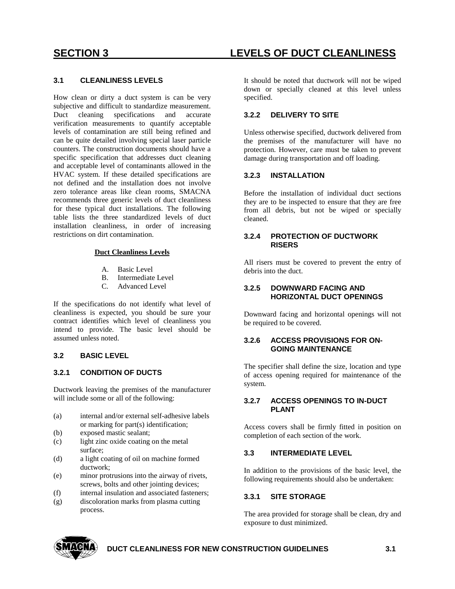#### **3.1 CLEANLINESS LEVELS**

 levels of contamination are still being refined and How clean or dirty a duct system is can be very subjective and difficult to standardize measurement. Duct cleaning specifications and accurate verification measurements to quantify acceptable can be quite detailed involving special laser particle counters. The construction documents should have a specific specification that addresses duct cleaning and acceptable level of contaminants allowed in the HVAC system. If these detailed specifications are not defined and the installation does not involve zero tolerance areas like clean rooms, SMACNA recommends three generic levels of duct cleanliness for these typical duct installations. The following table lists the three standardized levels of duct installation cleanliness, in order of increasing restrictions on dirt contamination.

#### **Duct Cleanliness Levels**

- A. Basic Level
	- B. Intermediate Level
	- $C_{\cdot}$ Advanced Level

 cleanliness is expected, you should be sure your intend to provide. The basic level should be If the specifications do not identify what level of contract identifies which level of cleanliness you assumed unless noted.

#### **3.2 BASIC LEVEL**

#### **3.2.1 CONDITION OF DUCTS**

Ductwork leaving the premises of the manufacturer will include some or all of the following:

- (a) internal and/or external self-adhesive labels or marking for part(s) identification;
- (b) exposed mastic sealant;
- (c) light zinc oxide coating on the metal surface;
- (d) a light coating of oil on machine formed ductwork;
- (e) minor protrusions into the airway of rivets, screws, bolts and other jointing devices;
- (f) internal insulation and associated fasteners;
- (g) discoloration marks from plasma cutting process.

## **SECTION 3 LEVELS OF DUCT CLEANLINESS**

 It should be noted that ductwork will not be wiped down or specially cleaned at this level unless specified.

#### **3.2.2 DELIVERY TO SITE**

Unless otherwise specified, ductwork delivered from the premises of the manufacturer will have no protection. However, care must be taken to prevent damage during transportation and off loading.

#### **3.2.3 INSTALLATION**

Before the installation of individual duct sections they are to be inspected to ensure that they are free from all debris, but not be wiped or specially cleaned.

#### **3.2.4 PROTECTION OF DUCTWORK RISERS**

All risers must be covered to prevent the entry of debris into the duct.

#### **3.2.5 DOWNWARD FACING AND HORIZONTAL DUCT OPENINGS**

Downward facing and horizontal openings will not be required to be covered.

#### **3.2.6 ACCESS PROVISIONS FOR ON-GOING MAINTENANCE**

 of access opening required for maintenance of the The specifier shall define the size, location and type system.

#### **3.2.7 ACCESS OPENINGS TO IN-DUCT PLANT**

 Access covers shall be firmly fitted in position on completion of each section of the work.

#### **3.3 INTERMEDIATE LEVEL**

In addition to the provisions of the basic level, the following requirements should also be undertaken:

#### **3.3.1 SITE STORAGE**

The area provided for storage shall be clean, dry and exposure to dust minimized.



#### **DUCT CLEANLINESS FOR NEW CONSTRUCTION GUIDELINES 3.1**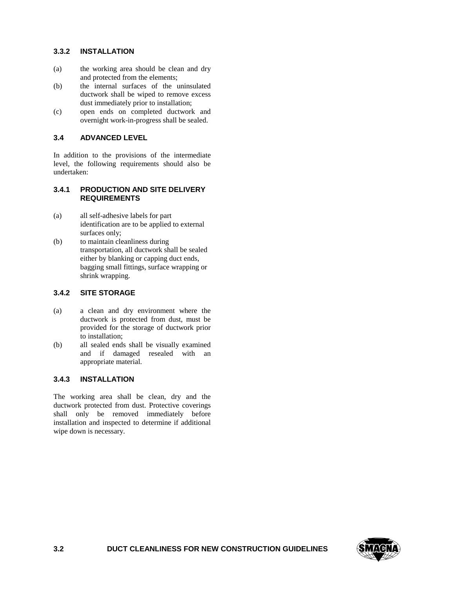#### **3.3.2 INSTALLATION**

- (a) the working area should be clean and dry and protected from the elements;
- (b) the internal surfaces of the uninsulated ductwork shall be wiped to remove excess dust immediately prior to installation;
- (c) open ends on completed ductwork and overnight work-in-progress shall be sealed.

#### **3.4 ADVANCED LEVEL**

 In addition to the provisions of the intermediate level, the following requirements should also be undertaken:

#### **3.4.1 PRODUCTION AND SITE DELIVERY REQUIREMENTS**

- (a) all self-adhesive labels for part identification are to be applied to external surfaces only;
- (b) to maintain cleanliness during transportation, all ductwork shall be sealed either by blanking or capping duct ends, bagging small fittings, surface wrapping or shrink wrapping.

#### **3.4.2 SITE STORAGE**

- (a) a clean and dry environment where the ductwork is protected from dust, must be provided for the storage of ductwork prior to installation;
- and if damaged resealed with an (b) all sealed ends shall be visually examined appropriate material.

#### **3.4.3 INSTALLATION**

 installation and inspected to determine if additional The working area shall be clean, dry and the ductwork protected from dust. Protective coverings shall only be removed immediately before wipe down is necessary.